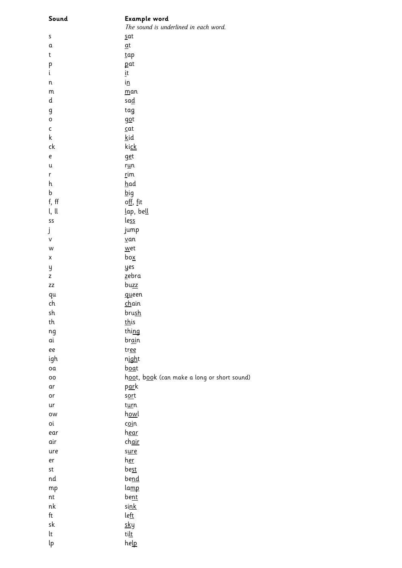| Sound                        | Example word<br>The sound is underlined in each word. |
|------------------------------|-------------------------------------------------------|
| S                            | sat                                                   |
| $\mathfrak a$                | $\underline{\mathfrak{a}}\mathfrak{t}$                |
| $\sf t$                      | tap                                                   |
| р                            | pat                                                   |
| i                            | įt                                                    |
| n                            | i <u>n</u>                                            |
| ${\sf m}$                    | man                                                   |
| d                            | <u>sad</u>                                            |
| g                            | tag                                                   |
| o                            | got                                                   |
| $\mathsf{C}$                 | $\subseteq$ at                                        |
| $\sf k$                      | <u>k</u> id                                           |
| ck                           | <u>kick</u>                                           |
| e                            | get                                                   |
| u                            | r <u>u</u> n                                          |
| r                            | rim                                                   |
| h                            | had                                                   |
| b                            | <u>b</u> ig                                           |
| f, ff                        | off, fit                                              |
| l, ll                        | lap, bell                                             |
| SS                           | le <u>ss</u>                                          |
| j                            | jump                                                  |
| V                            | $van$                                                 |
| W<br>Χ                       | wet<br>bo <u>x</u>                                    |
|                              | yes                                                   |
| y<br>Z                       | <u>z</u> ebra                                         |
| ZZ                           | buzz                                                  |
| qu                           | queen                                                 |
| ch                           | <u>ch</u> ain                                         |
| sh                           | <u>brush</u>                                          |
| th                           | <u>this</u>                                           |
| ng                           | thing                                                 |
| αi                           | br <u>ai</u> n                                        |
| ee                           | tree                                                  |
| igh                          | n <u>igh</u> t                                        |
| oa                           | <u>boa</u> t                                          |
| 00                           | hoot, book (can make a long or short sound)           |
| αr                           | <u>par</u> k                                          |
| or                           | sort                                                  |
| ur                           | t <u>ur</u> n                                         |
| ow                           | <u>howl</u>                                           |
| οi                           | c <u>oi</u> n                                         |
| ear                          | <u>hear</u>                                           |
| air                          | ch <u>air</u>                                         |
| ure                          | sure                                                  |
| er                           | <u>her</u>                                            |
| st                           | <u>best</u>                                           |
| nd                           | <u>bend</u>                                           |
| mp                           | lamp                                                  |
| $\operatorname{\mathsf{nt}}$ | <u>bent</u>                                           |
| nk                           | <u>sink</u>                                           |
| ft                           | left                                                  |
| sk<br>lt                     | <u>sky</u>                                            |
|                              | <u>tilt</u>                                           |
| lp                           | help                                                  |
|                              |                                                       |